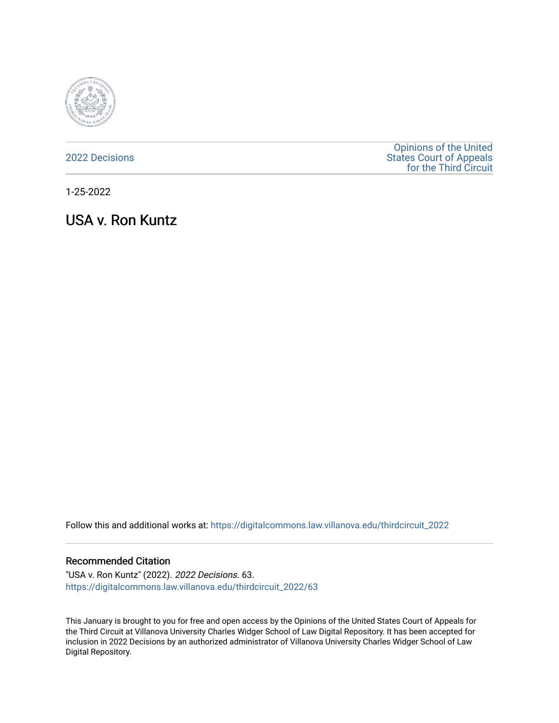

[2022 Decisions](https://digitalcommons.law.villanova.edu/thirdcircuit_2022)

[Opinions of the United](https://digitalcommons.law.villanova.edu/thirdcircuit)  [States Court of Appeals](https://digitalcommons.law.villanova.edu/thirdcircuit)  [for the Third Circuit](https://digitalcommons.law.villanova.edu/thirdcircuit) 

1-25-2022

USA v. Ron Kuntz

Follow this and additional works at: [https://digitalcommons.law.villanova.edu/thirdcircuit\\_2022](https://digitalcommons.law.villanova.edu/thirdcircuit_2022?utm_source=digitalcommons.law.villanova.edu%2Fthirdcircuit_2022%2F63&utm_medium=PDF&utm_campaign=PDFCoverPages) 

### Recommended Citation

"USA v. Ron Kuntz" (2022). 2022 Decisions. 63. [https://digitalcommons.law.villanova.edu/thirdcircuit\\_2022/63](https://digitalcommons.law.villanova.edu/thirdcircuit_2022/63?utm_source=digitalcommons.law.villanova.edu%2Fthirdcircuit_2022%2F63&utm_medium=PDF&utm_campaign=PDFCoverPages)

This January is brought to you for free and open access by the Opinions of the United States Court of Appeals for the Third Circuit at Villanova University Charles Widger School of Law Digital Repository. It has been accepted for inclusion in 2022 Decisions by an authorized administrator of Villanova University Charles Widger School of Law Digital Repository.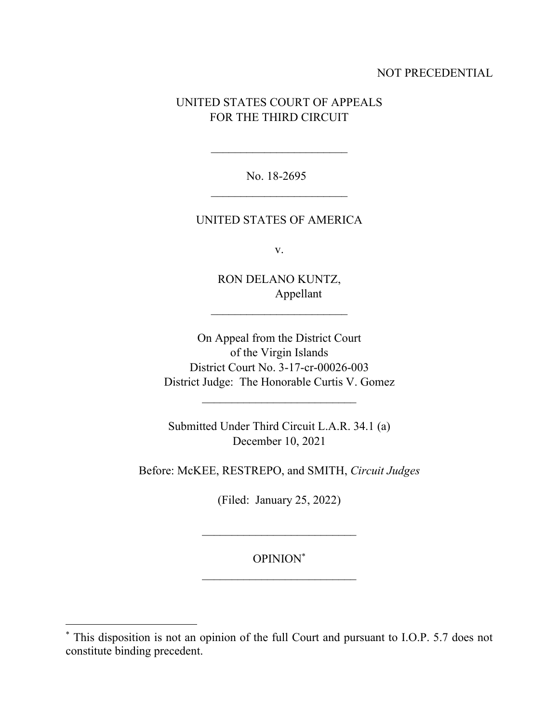## NOT PRECEDENTIAL

# UNITED STATES COURT OF APPEALS FOR THE THIRD CIRCUIT

No. 18-2695  $\mathcal{L}_\text{max}$ 

### UNITED STATES OF AMERICA

v.

RON DELANO KUNTZ, Appellant

 $\mathcal{L}_\text{max}$ 

On Appeal from the District Court of the Virgin Islands District Court No. 3-17-cr-00026-003 District Judge: The Honorable Curtis V. Gomez

Submitted Under Third Circuit L.A.R. 34.1 (a) December 10, 2021

 $\mathcal{L}_\text{max}$ 

Before: McKEE, RESTREPO, and SMITH, *Circuit Judges*

(Filed: January 25, 2022)

OPINION\*

<sup>\*</sup> This disposition is not an opinion of the full Court and pursuant to I.O.P. 5.7 does not constitute binding precedent.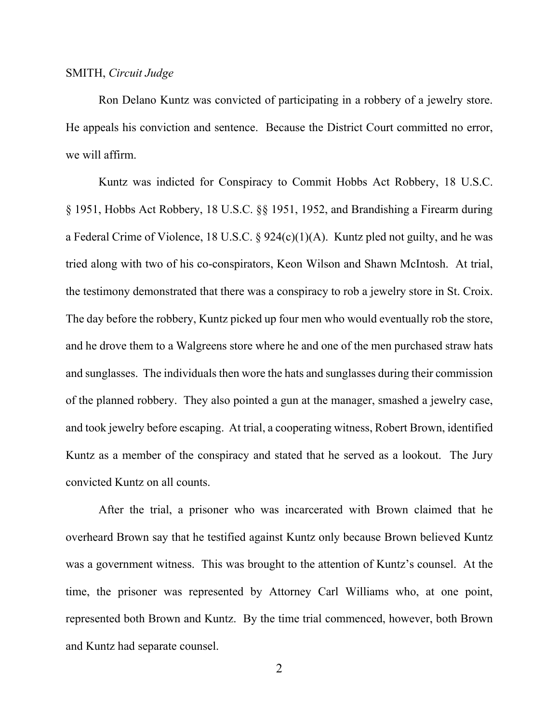#### SMITH, *Circuit Judge*

Ron Delano Kuntz was convicted of participating in a robbery of a jewelry store. He appeals his conviction and sentence. Because the District Court committed no error, we will affirm.

Kuntz was indicted for Conspiracy to Commit Hobbs Act Robbery, 18 U.S.C. § 1951, Hobbs Act Robbery, 18 U.S.C. §§ 1951, 1952, and Brandishing a Firearm during a Federal Crime of Violence, 18 U.S.C. §  $924(c)(1)(A)$ . Kuntz pled not guilty, and he was tried along with two of his co-conspirators, Keon Wilson and Shawn McIntosh. At trial, the testimony demonstrated that there was a conspiracy to rob a jewelry store in St. Croix. The day before the robbery, Kuntz picked up four men who would eventually rob the store, and he drove them to a Walgreens store where he and one of the men purchased straw hats and sunglasses. The individuals then wore the hats and sunglasses during their commission of the planned robbery. They also pointed a gun at the manager, smashed a jewelry case, and took jewelry before escaping. At trial, a cooperating witness, Robert Brown, identified Kuntz as a member of the conspiracy and stated that he served as a lookout. The Jury convicted Kuntz on all counts.

After the trial, a prisoner who was incarcerated with Brown claimed that he overheard Brown say that he testified against Kuntz only because Brown believed Kuntz was a government witness. This was brought to the attention of Kuntz's counsel. At the time, the prisoner was represented by Attorney Carl Williams who, at one point, represented both Brown and Kuntz. By the time trial commenced, however, both Brown and Kuntz had separate counsel.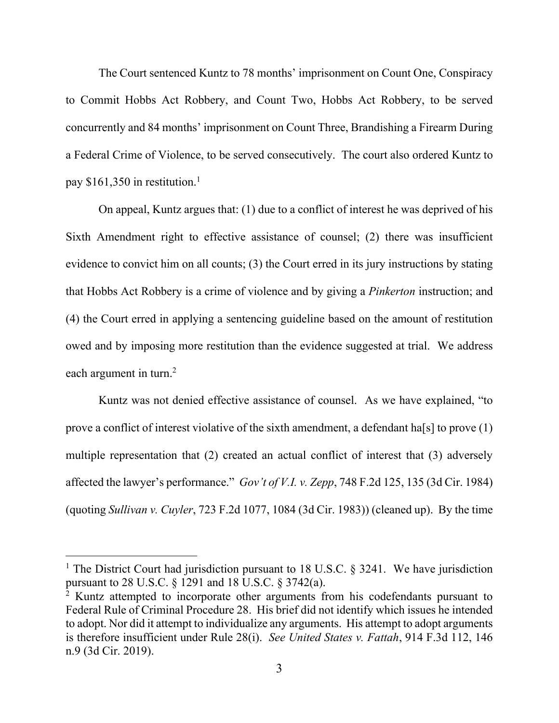The Court sentenced Kuntz to 78 months' imprisonment on Count One, Conspiracy to Commit Hobbs Act Robbery, and Count Two, Hobbs Act Robbery, to be served concurrently and 84 months' imprisonment on Count Three, Brandishing a Firearm During a Federal Crime of Violence, to be served consecutively. The court also ordered Kuntz to pay \$161,350 in restitution.<sup>1</sup>

On appeal, Kuntz argues that: (1) due to a conflict of interest he was deprived of his Sixth Amendment right to effective assistance of counsel; (2) there was insufficient evidence to convict him on all counts; (3) the Court erred in its jury instructions by stating that Hobbs Act Robbery is a crime of violence and by giving a *Pinkerton* instruction; and (4) the Court erred in applying a sentencing guideline based on the amount of restitution owed and by imposing more restitution than the evidence suggested at trial. We address each argument in turn.<sup>2</sup>

Kuntz was not denied effective assistance of counsel. As we have explained, "to prove a conflict of interest violative of the sixth amendment, a defendant has  $s$  to prove  $(1)$ multiple representation that (2) created an actual conflict of interest that (3) adversely affected the lawyer's performance." *Gov't of V.I. v. Zepp*, 748 F.2d 125, 135 (3d Cir. 1984) (quoting *Sullivan v. Cuyler*, 723 F.2d 1077, 1084 (3d Cir. 1983)) (cleaned up). By the time

<sup>&</sup>lt;sup>1</sup> The District Court had jurisdiction pursuant to 18 U.S.C.  $\S$  3241. We have jurisdiction pursuant to 28 U.S.C. § 1291 and 18 U.S.C. § 3742(a).

<sup>&</sup>lt;sup>2</sup> Kuntz attempted to incorporate other arguments from his codefendants pursuant to Federal Rule of Criminal Procedure 28. His brief did not identify which issues he intended to adopt. Nor did it attempt to individualize any arguments. His attempt to adopt arguments is therefore insufficient under Rule 28(i). *See United States v. Fattah*, 914 F.3d 112, 146 n.9 (3d Cir. 2019).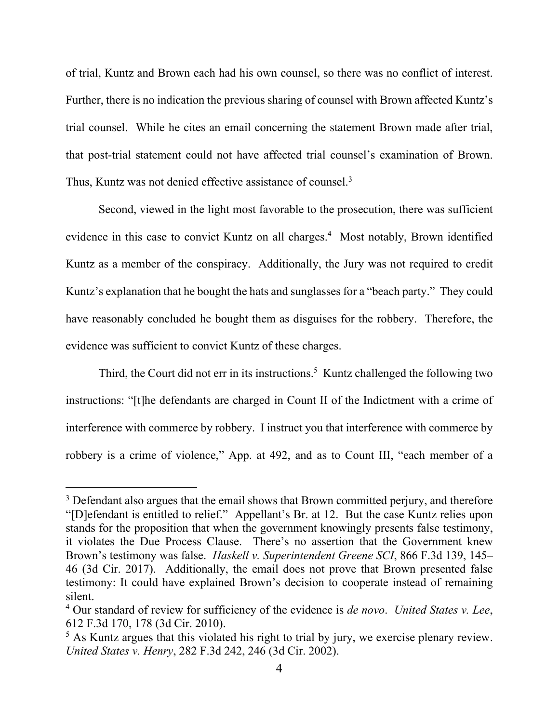of trial, Kuntz and Brown each had his own counsel, so there was no conflict of interest. Further, there is no indication the previous sharing of counsel with Brown affected Kuntz's trial counsel. While he cites an email concerning the statement Brown made after trial, that post-trial statement could not have affected trial counsel's examination of Brown. Thus, Kuntz was not denied effective assistance of counsel.<sup>3</sup>

Second, viewed in the light most favorable to the prosecution, there was sufficient evidence in this case to convict Kuntz on all charges.<sup>4</sup> Most notably, Brown identified Kuntz as a member of the conspiracy. Additionally, the Jury was not required to credit Kuntz's explanation that he bought the hats and sunglasses for a "beach party." They could have reasonably concluded he bought them as disguises for the robbery. Therefore, the evidence was sufficient to convict Kuntz of these charges.

Third, the Court did not err in its instructions.<sup>5</sup> Kuntz challenged the following two instructions: "[t]he defendants are charged in Count II of the Indictment with a crime of interference with commerce by robbery. I instruct you that interference with commerce by robbery is a crime of violence," App. at 492, and as to Count III, "each member of a

 $3$  Defendant also argues that the email shows that Brown committed perjury, and therefore "[D]efendant is entitled to relief." Appellant's Br. at 12. But the case Kuntz relies upon stands for the proposition that when the government knowingly presents false testimony, it violates the Due Process Clause. There's no assertion that the Government knew Brown's testimony was false. *Haskell v. Superintendent Greene SCI*, 866 F.3d 139, 145– 46 (3d Cir. 2017). Additionally, the email does not prove that Brown presented false testimony: It could have explained Brown's decision to cooperate instead of remaining silent.

<sup>4</sup> Our standard of review for sufficiency of the evidence is *de novo*. *United States v. Lee*, 612 F.3d 170, 178 (3d Cir. 2010).

<sup>&</sup>lt;sup>5</sup> As Kuntz argues that this violated his right to trial by jury, we exercise plenary review. *United States v. Henry*, 282 F.3d 242, 246 (3d Cir. 2002).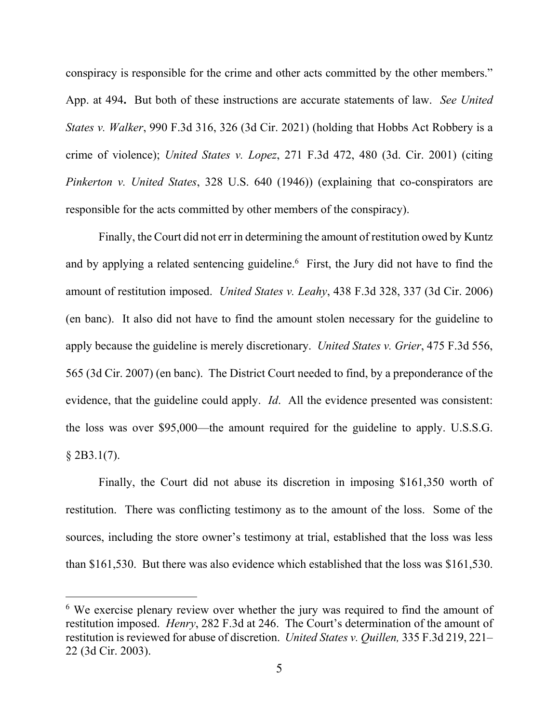conspiracy is responsible for the crime and other acts committed by the other members." App. at 494**.** But both of these instructions are accurate statements of law. *See United States v. Walker*, 990 F.3d 316, 326 (3d Cir. 2021) (holding that Hobbs Act Robbery is a crime of violence); *United States v. Lopez*, 271 F.3d 472, 480 (3d. Cir. 2001) (citing *Pinkerton v. United States*, 328 U.S. 640 (1946)) (explaining that co-conspirators are responsible for the acts committed by other members of the conspiracy).

Finally, the Court did not err in determining the amount of restitution owed by Kuntz and by applying a related sentencing guideline. <sup>6</sup> First, the Jury did not have to find the amount of restitution imposed. *United States v. Leahy*, 438 F.3d 328, 337 (3d Cir. 2006) (en banc). It also did not have to find the amount stolen necessary for the guideline to apply because the guideline is merely discretionary. *United States v. Grier*, 475 F.3d 556, 565 (3d Cir. 2007) (en banc). The District Court needed to find, by a preponderance of the evidence, that the guideline could apply. *Id*. All the evidence presented was consistent: the loss was over \$95,000—the amount required for the guideline to apply. U.S.S.G.  $§$  2B3.1(7).

Finally, the Court did not abuse its discretion in imposing \$161,350 worth of restitution. There was conflicting testimony as to the amount of the loss. Some of the sources, including the store owner's testimony at trial, established that the loss was less than \$161,530. But there was also evidence which established that the loss was \$161,530.

<sup>&</sup>lt;sup>6</sup> We exercise plenary review over whether the jury was required to find the amount of restitution imposed. *Henry*, 282 F.3d at 246. The Court's determination of the amount of restitution is reviewed for abuse of discretion. *United States v. Quillen,* 335 F.3d 219, 221– 22 (3d Cir. 2003).